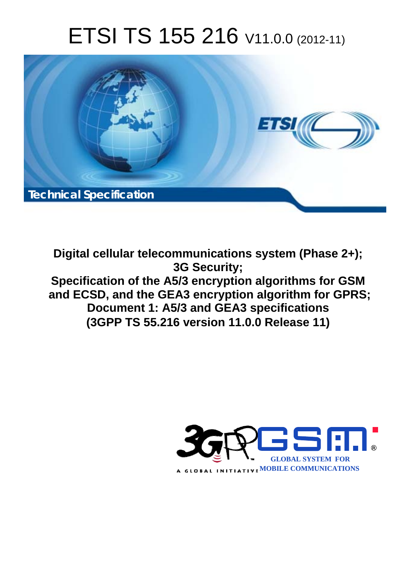# ETSI TS 155 216 V11.0.0 (2012-11)



**Digital cellular telecommunications system (Phase 2+); 3G Security; Specification of the A5/3 encryption algorithms for GSM and ECSD, and the GEA3 encryption algorithm for GPRS; Document 1: A5/3 and GEA3 specifications (3GPP TS 55.216 version 11.0.0 Release 11)** 

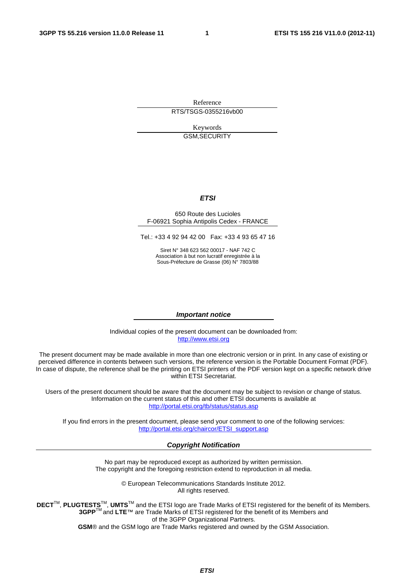Reference RTS/TSGS-0355216vb00

> Keywords GSM,SECURITY

#### *ETSI*

#### 650 Route des Lucioles F-06921 Sophia Antipolis Cedex - FRANCE

Tel.: +33 4 92 94 42 00 Fax: +33 4 93 65 47 16

Siret N° 348 623 562 00017 - NAF 742 C Association à but non lucratif enregistrée à la Sous-Préfecture de Grasse (06) N° 7803/88

#### *Important notice*

Individual copies of the present document can be downloaded from: [http://www.etsi.org](http://www.etsi.org/)

The present document may be made available in more than one electronic version or in print. In any case of existing or perceived difference in contents between such versions, the reference version is the Portable Document Format (PDF). In case of dispute, the reference shall be the printing on ETSI printers of the PDF version kept on a specific network drive within ETSI Secretariat.

Users of the present document should be aware that the document may be subject to revision or change of status. Information on the current status of this and other ETSI documents is available at <http://portal.etsi.org/tb/status/status.asp>

If you find errors in the present document, please send your comment to one of the following services: [http://portal.etsi.org/chaircor/ETSI\\_support.asp](http://portal.etsi.org/chaircor/ETSI_support.asp)

#### *Copyright Notification*

No part may be reproduced except as authorized by written permission. The copyright and the foregoing restriction extend to reproduction in all media.

> © European Telecommunications Standards Institute 2012. All rights reserved.

DECT<sup>™</sup>, PLUGTESTS<sup>™</sup>, UMTS<sup>™</sup> and the ETSI logo are Trade Marks of ETSI registered for the benefit of its Members. **3GPP**TM and **LTE**™ are Trade Marks of ETSI registered for the benefit of its Members and of the 3GPP Organizational Partners.

**GSM**® and the GSM logo are Trade Marks registered and owned by the GSM Association.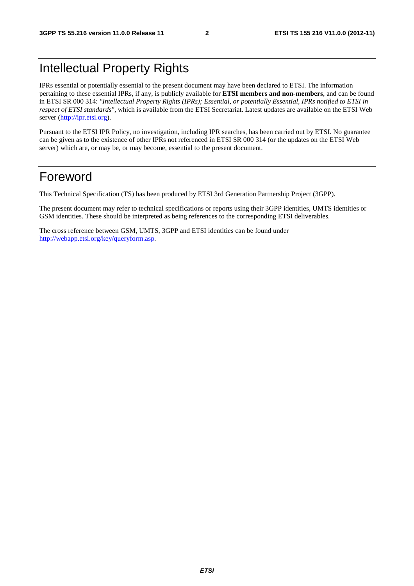## Intellectual Property Rights

IPRs essential or potentially essential to the present document may have been declared to ETSI. The information pertaining to these essential IPRs, if any, is publicly available for **ETSI members and non-members**, and can be found in ETSI SR 000 314: *"Intellectual Property Rights (IPRs); Essential, or potentially Essential, IPRs notified to ETSI in respect of ETSI standards"*, which is available from the ETSI Secretariat. Latest updates are available on the ETSI Web server [\(http://ipr.etsi.org](http://webapp.etsi.org/IPR/home.asp)).

Pursuant to the ETSI IPR Policy, no investigation, including IPR searches, has been carried out by ETSI. No guarantee can be given as to the existence of other IPRs not referenced in ETSI SR 000 314 (or the updates on the ETSI Web server) which are, or may be, or may become, essential to the present document.

## Foreword

This Technical Specification (TS) has been produced by ETSI 3rd Generation Partnership Project (3GPP).

The present document may refer to technical specifications or reports using their 3GPP identities, UMTS identities or GSM identities. These should be interpreted as being references to the corresponding ETSI deliverables.

The cross reference between GSM, UMTS, 3GPP and ETSI identities can be found under <http://webapp.etsi.org/key/queryform.asp>.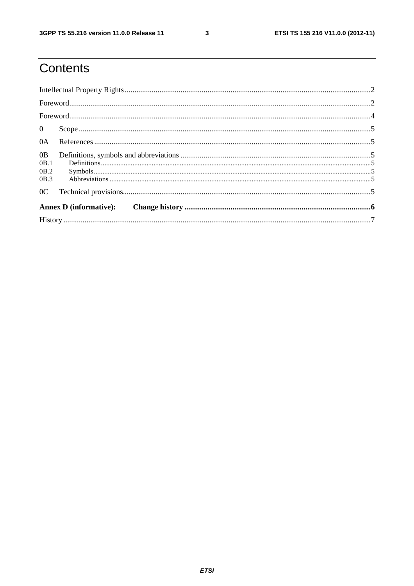$\mathbf{3}$ 

# Contents

| 0B             |  |  |  |  |  |  |
|----------------|--|--|--|--|--|--|
| OB.1           |  |  |  |  |  |  |
| OB.2           |  |  |  |  |  |  |
| OB.3           |  |  |  |  |  |  |
| 0 <sup>C</sup> |  |  |  |  |  |  |
|                |  |  |  |  |  |  |
|                |  |  |  |  |  |  |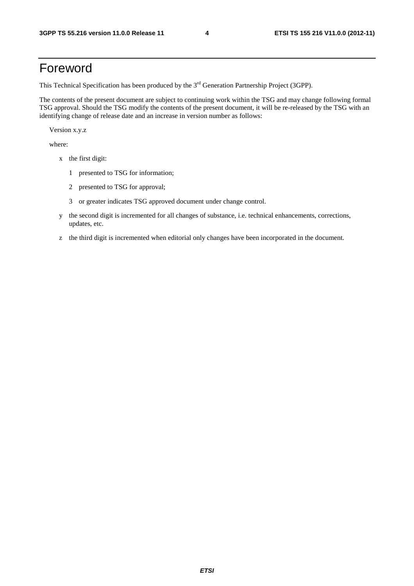## Foreword

This Technical Specification has been produced by the 3<sup>rd</sup> Generation Partnership Project (3GPP).

The contents of the present document are subject to continuing work within the TSG and may change following formal TSG approval. Should the TSG modify the contents of the present document, it will be re-released by the TSG with an identifying change of release date and an increase in version number as follows:

Version x.y.z

where:

- x the first digit:
	- 1 presented to TSG for information;
	- 2 presented to TSG for approval;
	- 3 or greater indicates TSG approved document under change control.
- y the second digit is incremented for all changes of substance, i.e. technical enhancements, corrections, updates, etc.
- z the third digit is incremented when editorial only changes have been incorporated in the document.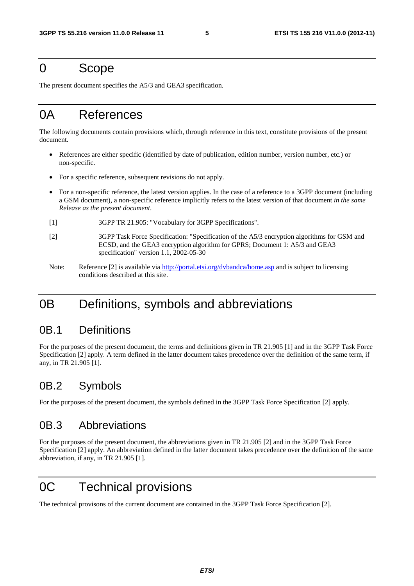#### 0 Scope

The present document specifies the A5/3 and GEA3 specification.

## 0A References

The following documents contain provisions which, through reference in this text, constitute provisions of the present document.

- References are either specific (identified by date of publication, edition number, version number, etc.) or non-specific.
- For a specific reference, subsequent revisions do not apply.
- For a non-specific reference, the latest version applies. In the case of a reference to a 3GPP document (including a GSM document), a non-specific reference implicitly refers to the latest version of that document *in the same Release as the present document*.
- [1] 3GPP TR 21.905: "Vocabulary for 3GPP Specifications".
- [2] 3GPP Task Force Specification: "Specification of the A5/3 encryption algorithms for GSM and ECSD, and the GEA3 encryption algorithm for GPRS; Document 1: A5/3 and GEA3 specification" version 1.1, 2002-05-30
- Note: Reference [2] is available via<http://portal.etsi.org/dvbandca/home.asp> and is subject to licensing conditions described at this site.

## 0B Definitions, symbols and abbreviations

#### 0B.1 Definitions

For the purposes of the present document, the terms and definitions given in TR 21.905 [1] and in the 3GPP Task Force Specification [2] apply. A term defined in the latter document takes precedence over the definition of the same term, if any, in TR 21.905 [1].

#### 0B.2 Symbols

For the purposes of the present document, the symbols defined in the 3GPP Task Force Specification [2] apply.

#### 0B.3 Abbreviations

For the purposes of the present document, the abbreviations given in TR 21.905 [2] and in the 3GPP Task Force Specification [2] apply. An abbreviation defined in the latter document takes precedence over the definition of the same abbreviation, if any, in TR 21.905 [1].

## 0C Technical provisions

The technical provisons of the current document are contained in the 3GPP Task Force Specification [2].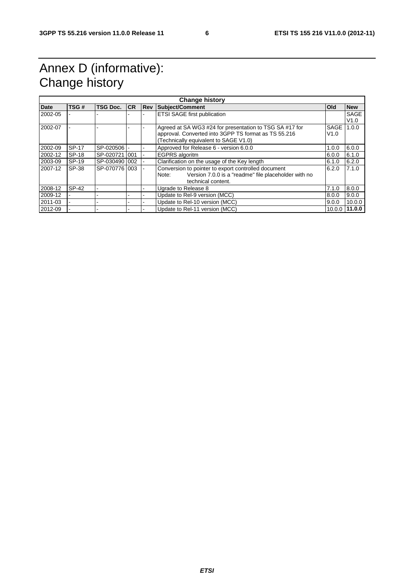# Annex D (informative): Change history

| <b>Change history</b> |              |                 |           |            |                                                               |            |             |  |  |
|-----------------------|--------------|-----------------|-----------|------------|---------------------------------------------------------------|------------|-------------|--|--|
| Date                  | TSG#         | <b>TSG Doc.</b> | <b>CR</b> | <b>Rev</b> | Subject/Comment                                               | <b>Old</b> | <b>New</b>  |  |  |
| 2002-05               |              |                 |           |            | <b>ETSI SAGE first publication</b>                            |            | <b>SAGE</b> |  |  |
|                       |              |                 |           |            |                                                               |            | V1.0        |  |  |
| 2002-07               |              |                 |           |            | Agreed at SA WG3 #24 for presentation to TSG SA #17 for       | SAGE       | 1.0.0       |  |  |
|                       |              |                 |           |            | approval. Converted into 3GPP TS format as TS 55.216          | V1.0       |             |  |  |
|                       |              |                 |           |            | (Technically equivalent to SAGE V1.0)                         |            |             |  |  |
| 2002-09               | <b>SP-17</b> | SP-020506       |           |            | Approved for Release 6 - version 6.0.0                        | 1.0.0      | 6.0.0       |  |  |
| 2002-12               | SP-18        | SP-020721 001   |           |            | EGPRS algoritm                                                | 6.0.0      | 6.1.0       |  |  |
| 2003-09               | SP-19        | SP-030490 002   |           |            | Clarification on the usage of the Key length                  | 6.1.0      | 6.2.0       |  |  |
| 2007-12               | SP-38        | SP-070776 003   |           |            | Conversion to pointer to export controlled document           | 6.2.0      | 7.1.0       |  |  |
|                       |              |                 |           |            | Version 7.0.0 is a "readme" file placeholder with no<br>Note: |            |             |  |  |
|                       |              |                 |           |            | technical content.                                            |            |             |  |  |
| 2008-12               | SP-42        |                 |           |            | Ugrade to Release 8                                           | 7.1.0      | 8.0.0       |  |  |
| 2009-12               |              |                 |           |            | Update to Rel-9 version (MCC)                                 | 8.0.0      | 9.0.0       |  |  |
| 2011-03               |              |                 |           |            | Update to Rel-10 version (MCC)                                | 9.0.0      | 10.0.0      |  |  |
| 2012-09               |              |                 |           |            | Update to Rel-11 version (MCC)                                | 10.0.0     | 11.0.0      |  |  |